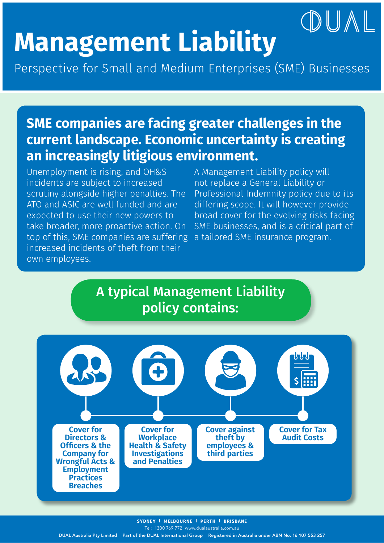# **Management Liability**

Perspective for Small and Medium Enterprises (SME) Businesses

### **SME companies are facing greater challenges in the current landscape. Economic uncertainty is creating an increasingly litigious environment.**

Unemployment is rising, and OH&S incidents are subject to increased scrutiny alongside higher penalties. The ATO and ASIC are well funded and are expected to use their new powers to take broader, more proactive action. On top of this, SME companies are suffering increased incidents of theft from their own employees.

A Management Liability policy will not replace a General Liability or Professional Indemnity policy due to its differing scope. It will however provide broad cover for the evolving risks facing SME businesses, and is a critical part of a tailored SME insurance program.

OUAL

#### A typical Management Liability policy contains:



Tel: 1300 769 772 www.dualaustralia.com.au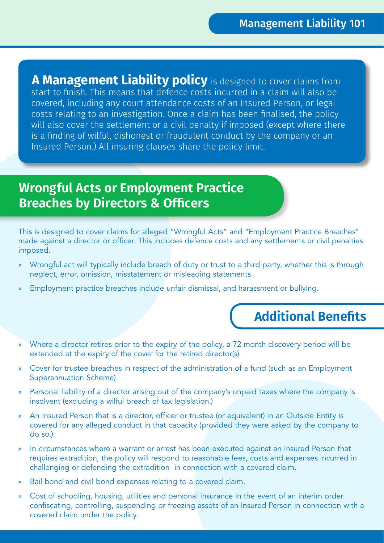**A Management Liability policy** is designed to cover claims from start to finish. This means that defence costs incurred in a claim will also be covered, including any court attendance costs of an Insured Person, or legal costs relating to an investigation. Once a claim has been finalised, the policy will also cover the settlement or a civil penalty if imposed (except where there is a finding of wilful, dishonest or fraudulent conduct by the company or an Insured Person.) All insuring clauses share the policy limit.

#### **Wrongful Acts or Employment Practice Breaches by Directors & Officers**

This is designed to cover claims for alleged "Wrongful Acts" and "Employment Practice Breaches" made against a director or officer. This includes defence costs and any settlements or civil penalties imposed.

- » Wrongful act will typically include breach of duty or trust to a third party, whether this is through neglect, error, omission, misstatement or misleading statements.
- » Employment practice breaches include unfair dismissal, and harassment or bullying.

#### **Additional Benefits**

- » Where a director retires prior to the expiry of the policy, a 72 month discovery period will be extended at the expiry of the cover for the retired director(s).
- » Cover for trustee breaches in respect of the administration of a fund (such as an Employment Superannuation Scheme)
- » Personal liability of a director arising out of the company's unpaid taxes where the company is insolvent (excluding a wilful breach of tax legislation.)
- » An Insured Person that is a director, officer or trustee (or equivalent) in an Outside Entity is covered for any alleged conduct in that capacity (provided they were asked by the company to do so.)
- » In circumstances where a warrant or arrest has been executed against an Insured Person that requires extradition, the policy will respond to reasonable fees, costs and expenses incurred in challenging or defending the extradition in connection with a covered claim.
- » Bail bond and civil bond expenses relating to a covered claim.
- » Cost of schooling, housing, utilities and personal insurance in the event of an interim order confiscating, controlling, suspending or freezing assets of an Insured Person in connection with a covered claim under the policy.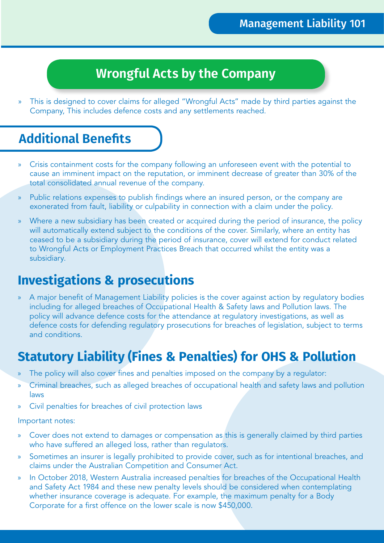#### **Wrongful Acts by the Company**

» This is designed to cover claims for alleged "Wrongful Acts" made by third parties against the Company, This includes defence costs and any settlements reached.

#### **Additional Benefits**

- » Crisis containment costs for the company following an unforeseen event with the potential to cause an imminent impact on the reputation, or imminent decrease of greater than 30% of the total consolidated annual revenue of the company.
- » Public relations expenses to publish findings where an insured person, or the company are exonerated from fault, liability or culpability in connection with a claim under the policy.
- » Where a new subsidiary has been created or acquired during the period of insurance, the policy will automatically extend subject to the conditions of the cover. Similarly, where an entity has ceased to be a subsidiary during the period of insurance, cover will extend for conduct related to Wrongful Acts or Employment Practices Breach that occurred whilst the entity was a subsidiary.

#### **Investigations & prosecutions**

A major benefit of Management Liability policies is the cover against action by regulatory bodies including for alleged breaches of Occupational Health & Safety laws and Pollution laws. The policy will advance defence costs for the attendance at regulatory investigations, as well as defence costs for defending regulatory prosecutions for breaches of legislation, subject to terms and conditions.

#### **Statutory Liability (Fines & Penalties) for OHS & Pollution**

- » The policy will also cover fines and penalties imposed on the company by a regulator:
- » Criminal breaches, such as alleged breaches of occupational health and safety laws and pollution laws
- » Civil penalties for breaches of civil protection laws

#### Important notes:

- » Cover does not extend to damages or compensation as this is generally claimed by third parties who have suffered an alleged loss, rather than regulators.
- » Sometimes an insurer is legally prohibited to provide cover, such as for intentional breaches, and claims under the Australian Competition and Consumer Act.
- » In October 2018, Western Australia increased penalties for breaches of the Occupational Health and Safety Act 1984 and these new penalty levels should be considered when contemplating whether insurance coverage is adequate. For example, the maximum penalty for a Body Corporate for a first offence on the lower scale is now \$450,000.